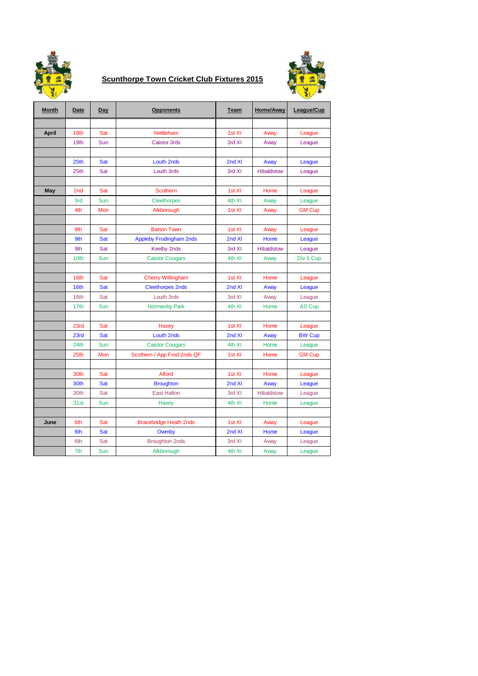

## **Scunthorpe Town Cricket Club Fixtures 2015**



| <b>Month</b> | <b>Date</b>      | Day        | <b>Opponents</b>               | <b>Team</b> | <b>Home/Away</b>  | League/Cup    |
|--------------|------------------|------------|--------------------------------|-------------|-------------------|---------------|
|              |                  |            |                                |             |                   |               |
| <b>April</b> | 18th             | Sat        | Nettleham                      | 1st XI      | Away              | League        |
|              | 19th             | Sun        | <b>Caistor 3rds</b>            | 3rd XI      | Away              | League        |
|              |                  |            |                                |             |                   |               |
|              | 25 <sub>th</sub> | Sat        | <b>Louth 2nds</b>              | 2nd XI      | Away              | League        |
|              | 25th             | Sat        | Louth 3rds                     | 3rd XI      | <b>Hibaldstow</b> | League        |
|              |                  |            |                                |             |                   |               |
| <b>May</b>   | 2nd              | Sat        | Scothern                       | 1st XI      | Home              | League        |
|              | 3rd              | Sun        | <b>Cleethorpes</b>             | 4th XI      | Away              | League        |
|              | 4th              | Mon        | Alkborough                     | 1st XI      | Away              | <b>GM Cup</b> |
|              |                  |            |                                |             |                   |               |
|              | 9th              | Sat        | <b>Barton Town</b>             | 1st XI      | Away              | League        |
|              | 9th              | Sat        | <b>Appleby Frodingham 2nds</b> | 2nd XI      | Home              | League        |
|              | 9th              | Sat        | <b>Keelby 2nds</b>             | 3rd XI      | <b>Hibaldstow</b> | League        |
|              | 10th             | Sun        | <b>Caistor Cougars</b>         | 4th XI      | Away              | Div 1 Cup     |
|              |                  |            |                                |             |                   |               |
|              | 16th             | Sat        | <b>Cherry Willingham</b>       | 1st XI      | Home              | League        |
|              | 16th             | Sat        | <b>Cleethorpes 2nds</b>        | 2nd XI      | Away              | League        |
|              | 16th             | Sat        | Louth 3rds                     | 3rd XI      | Away              | League        |
|              | 17th             | Sun        | <b>Normanby Park</b>           | 4th XI      | Home              | <b>AS Cup</b> |
|              |                  |            |                                |             |                   |               |
|              | 23rd             | Sat        | Haxey                          | 1st XI      | Home              | League        |
|              | 23rd             | Sat        | <b>Louth 2nds</b>              | 2nd XI      | Away              | <b>BW Cup</b> |
|              | 24 <sub>th</sub> | Sun        | <b>Caistor Cougars</b>         | 4th XI      | Home              | League        |
|              | 25th             | Mon        | Scothern / App Frod 2nds QF    | 1st XI      | Home              | <b>GM Cup</b> |
|              |                  |            |                                |             |                   |               |
|              | 30th             | Sat        | <b>Alford</b>                  | 1st XI      | Home              | League        |
|              | 30th             | Sat        | <b>Broughton</b>               | 2nd XI      | Away              | League        |
|              | 30th             | Sat        | <b>East Halton</b>             | 3rd XI      | <b>Hibaldstow</b> | League        |
|              | 31st             | Sun        | Haxey                          | 4th XI      | Home              | League        |
|              |                  |            |                                |             |                   |               |
| June         | 6th              | Sat        | <b>Bracebridge Heath 2nds</b>  | 1st XI      | Away              | League        |
|              | 6th              | <b>Sat</b> | Owmby                          | 2nd XI      | Home              | League        |
|              | 6th              | Sat        | <b>Broughton 2nds</b>          | 3rd XI      | Away              | League        |
|              | 7th              | Sun        | Alkborough                     | 4th XI      | Away              | League        |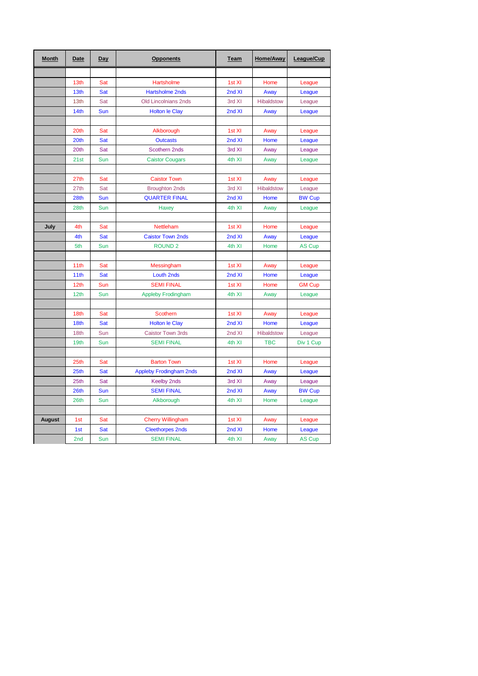| <b>Month</b>  | Date             | Day        | <b>Opponents</b>               | <b>Team</b> | Home/Away         | League/Cup    |
|---------------|------------------|------------|--------------------------------|-------------|-------------------|---------------|
|               |                  |            |                                |             |                   |               |
|               | 13 <sub>th</sub> | Sat        | Hartsholme                     | 1st XI      | Home              | League        |
|               | 13th             | Sat        | <b>Hartsholme 2nds</b>         | 2nd XI      | Away              | League        |
|               | 13th             | Sat        | <b>Old Lincolnians 2nds</b>    | 3rd XI      | <b>Hibaldstow</b> | League        |
|               | 14th             | Sun        | <b>Holton le Clay</b>          | 2nd XI      | Away              | League        |
|               |                  |            |                                |             |                   |               |
|               | 20th             | Sat        | Alkborough                     | 1st XI      | Away              | League        |
|               | 20th             | Sat        | <b>Outcasts</b>                | 2nd XI      | Home              | League        |
|               | 20th             | Sat        | Scothern 2nds                  | 3rd XI      | Away              | League        |
|               | 21st             | Sun        | <b>Caistor Cougars</b>         | 4th XI      | Away              | League        |
|               |                  |            |                                |             |                   |               |
|               | 27th             | Sat        | <b>Caistor Town</b>            | 1st XI      | Away              | League        |
|               | 27th             | Sat        | <b>Broughton 2nds</b>          | 3rd XI      | <b>Hibaldstow</b> | League        |
|               | 28th             | Sun        | <b>QUARTER FINAL</b>           | 2nd XI      | Home              | <b>BW Cup</b> |
|               | 28th             | Sun        | Haxey                          | 4th XI      | Away              | League        |
|               |                  |            |                                |             |                   |               |
| July          | 4th              | Sat        | Nettleham                      | 1st XI      | Home              | League        |
|               | 4th              | Sat        | <b>Caistor Town 2nds</b>       | 2nd XI      | Away              | League        |
|               | 5th              | Sun        | <b>ROUND<sub>2</sub></b>       | 4th XI      | Home              | <b>AS Cup</b> |
|               |                  |            |                                |             |                   |               |
|               | 11th             | Sat        | Messingham                     | 1st XI      | Away              | League        |
|               | 11th             | Sat        | Louth 2nds                     | 2nd XI      | Home              | League        |
|               | 12 <sub>th</sub> | Sun        | <b>SEMI FINAL</b>              | 1st XI      | Home              | <b>GM Cup</b> |
|               | 12th             | Sun        | <b>Appleby Frodingham</b>      | 4th XI      | Away              | League        |
|               |                  |            |                                |             |                   |               |
|               | 18th             | Sat        | <b>Scothern</b>                | 1st XI      | Away              | League        |
|               | 18th             | Sat        | <b>Holton le Clay</b>          | 2nd XI      | Home              | League        |
|               | 18th             | Sun        | <b>Caistor Town 3rds</b>       | 2nd XI      | Hibaldstow        | League        |
|               | 19th             | Sun        | <b>SEMI FINAL</b>              | 4th XI      | <b>TBC</b>        | Div 1 Cup     |
|               |                  |            |                                |             |                   |               |
|               | 25th             | Sat        | <b>Barton Town</b>             | 1st XI      | Home              | League        |
|               | 25 <sub>th</sub> | Sat        | <b>Appleby Frodingham 2nds</b> | 2nd XI      | Away              | League        |
|               | 25th             | Sat        | <b>Keelby 2nds</b>             | 3rd XI      | Away              | League        |
|               | 26th             | Sun        | <b>SEMI FINAL</b>              | 2nd XI      | Away              | <b>BW Cup</b> |
|               | 26th             | Sun        | Alkborough                     | 4th XI      | Home              | League        |
|               |                  |            |                                |             |                   |               |
| <b>August</b> | 1st              | Sat        | <b>Cherry Willingham</b>       | 1st XI      | Away              | League        |
|               | 1st              | <b>Sat</b> | <b>Cleethorpes 2nds</b>        | 2nd XI      | Home              | League        |
|               | 2nd              | Sun        | <b>SEMI FINAL</b>              | 4th XI      | Away              | <b>AS Cup</b> |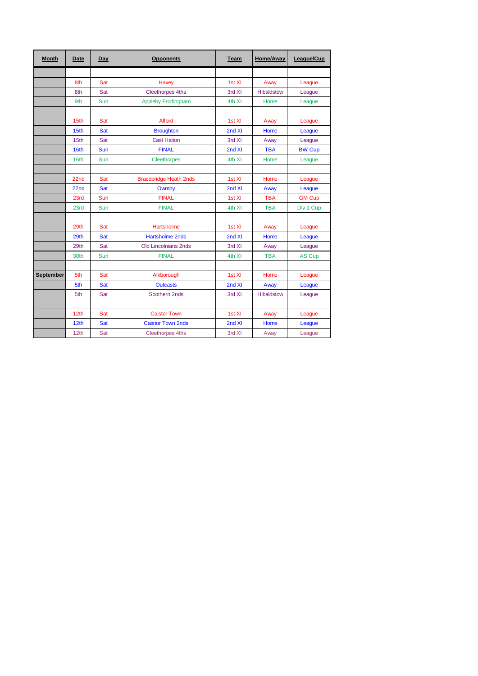| <b>Month</b>     | Date             | Day | <b>Opponents</b>              | <b>Team</b> | Home/Away         | League/Cup    |
|------------------|------------------|-----|-------------------------------|-------------|-------------------|---------------|
|                  |                  |     |                               |             |                   |               |
|                  | 8th              | Sat | Haxey                         | 1st XI      | Away              | League        |
|                  | 8th              | Sat | <b>Cleethorpes 4ths</b>       | 3rd XI      | <b>Hibaldstow</b> | League        |
|                  | 9th              | Sun | <b>Appleby Frodingham</b>     | 4th XI      | Home              | League        |
|                  |                  |     |                               |             |                   |               |
|                  | 15th             | Sat | <b>Alford</b>                 | 1st XI      | Away              | League        |
|                  | 15th             | Sat | <b>Broughton</b>              | 2nd XI      | Home              | League        |
|                  | 15th             | Sat | <b>East Halton</b>            | 3rd XI      | Away              | League        |
|                  | 16th             | Sun | <b>FINAL</b>                  | 2nd XI      | <b>TBA</b>        | <b>BW Cup</b> |
|                  | 16th             | Sun | <b>Cleethorpes</b>            | 4th XI      | Home              | League        |
|                  |                  |     |                               |             |                   |               |
|                  | 22 <sub>nd</sub> | Sat | <b>Bracebridge Heath 2nds</b> | 1st XI      | Home              | League        |
|                  | 22 <sub>nd</sub> | Sat | Owmby                         | 2nd XI      | Away              | League        |
|                  | 23rd             | Sun | <b>FINAL</b>                  | 1st XI      | <b>TBA</b>        | <b>GM Cup</b> |
|                  | 23rd             | Sun | <b>FINAL</b>                  | 4th XI      | <b>TBA</b>        | Div 1 Cup     |
|                  |                  |     |                               |             |                   |               |
|                  | 29th             | Sat | Hartsholme                    | 1st XI      | Away              | League        |
|                  | 29th             | Sat | <b>Hartsholme 2nds</b>        | 2nd XI      | Home              | League        |
|                  | 29th             | Sat | <b>Old Lincolnians 2nds</b>   | 3rd XI      | Away              | League        |
|                  | 30th             | Sun | <b>FINAL</b>                  | 4th XI      | <b>TBA</b>        | <b>AS Cup</b> |
|                  |                  |     |                               |             |                   |               |
| <b>September</b> | 5th              | Sat | Alkborough                    | 1st XI      | Home              | League        |
|                  | 5th              | Sat | <b>Outcasts</b>               | 2nd XI      | Away              | League        |
|                  | 5th              | Sat | Scothern 2nds                 | 3rd XI      | <b>Hibaldstow</b> | League        |
|                  |                  |     |                               |             |                   |               |
|                  | 12 <sub>th</sub> | Sat | <b>Caistor Town</b>           | 1st XI      | Away              | League        |
|                  | 12 <sub>th</sub> | Sat | <b>Caistor Town 2nds</b>      | 2nd XI      | Home              | League        |
|                  | 12 <sub>th</sub> | Sat | <b>Cleethorpes 4ths</b>       | 3rd XI      | Away              | League        |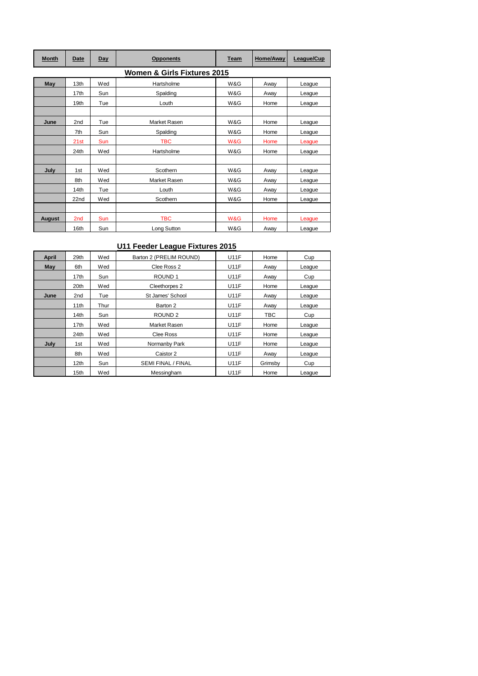| <b>Month</b>                | Date            | Day | <b>Opponents</b> | <b>Team</b> | Home/Away | League/Cup |  |  |
|-----------------------------|-----------------|-----|------------------|-------------|-----------|------------|--|--|
| Women & Girls Fixtures 2015 |                 |     |                  |             |           |            |  |  |
| <b>May</b>                  | 13th            | Wed | Hartsholme       | W&G         | Away      | League     |  |  |
|                             | 17th            | Sun | Spalding         | W&G         | Away      | League     |  |  |
|                             | 19th            | Tue | Louth            | W&G         | Home      | League     |  |  |
|                             |                 |     |                  |             |           |            |  |  |
| June                        | 2nd             | Tue | Market Rasen     | W&G         | Home      | League     |  |  |
|                             | 7th             | Sun | Spalding         | W&G         | Home      | League     |  |  |
|                             | 21st            | Sun | <b>TBC</b>       | W&G         | Home      | League     |  |  |
|                             | 24th            | Wed | Hartsholme       | W&G         | Home      | League     |  |  |
|                             |                 |     |                  |             |           |            |  |  |
| July                        | 1st             | Wed | Scothern         | W&G         | Away      | League     |  |  |
|                             | 8th             | Wed | Market Rasen     | W&G         | Away      | League     |  |  |
|                             | 14th            | Tue | Louth            | W&G         | Away      | League     |  |  |
|                             | 22nd            | Wed | Scothern         | W&G         | Home      | League     |  |  |
|                             |                 |     |                  |             |           |            |  |  |
| <b>August</b>               | 2 <sub>nd</sub> | Sun | <b>TBC</b>       | W&G         | Home      | League     |  |  |
|                             | 16th            | Sun | Long Sutton      | W&G         | Away      | League     |  |  |

## **U11 Feeder League Fixtures 2015**

| <b>April</b> | 29th             | Wed  | Barton 2 (PRELIM ROUND)   | <b>U11F</b> | Home    | Cup    |
|--------------|------------------|------|---------------------------|-------------|---------|--------|
| May          | 6th              | Wed  | Clee Ross 2               | <b>U11F</b> | Away    | League |
|              | 17th             | Sun  | ROUND <sub>1</sub>        | <b>U11F</b> | Away    | Cup    |
|              | 20th             | Wed  | Cleethorpes 2             | <b>U11F</b> | Home    | League |
| June         | 2nd              | Tue  | St James' School          | <b>U11F</b> | Away    | League |
|              | 11th             | Thur | Barton 2                  | <b>U11F</b> | Away    | League |
|              | 14th             | Sun  | ROUND <sub>2</sub>        | <b>U11F</b> | TBC     | Cup    |
|              | 17 <sub>th</sub> | Wed  | Market Rasen              | <b>U11F</b> | Home    | League |
|              | 24th             | Wed  | Clee Ross                 | <b>U11F</b> | Home    | League |
| July         | 1st              | Wed  | Normanby Park             | <b>U11F</b> | Home    | League |
|              | 8th              | Wed  | Caistor 2                 | <b>U11F</b> | Away    | League |
|              | 12 <sub>th</sub> | Sun  | <b>SEMI FINAL / FINAL</b> | <b>U11F</b> | Grimsby | Cup    |
|              | 15th             | Wed  | Messingham                | <b>U11F</b> | Home    | League |